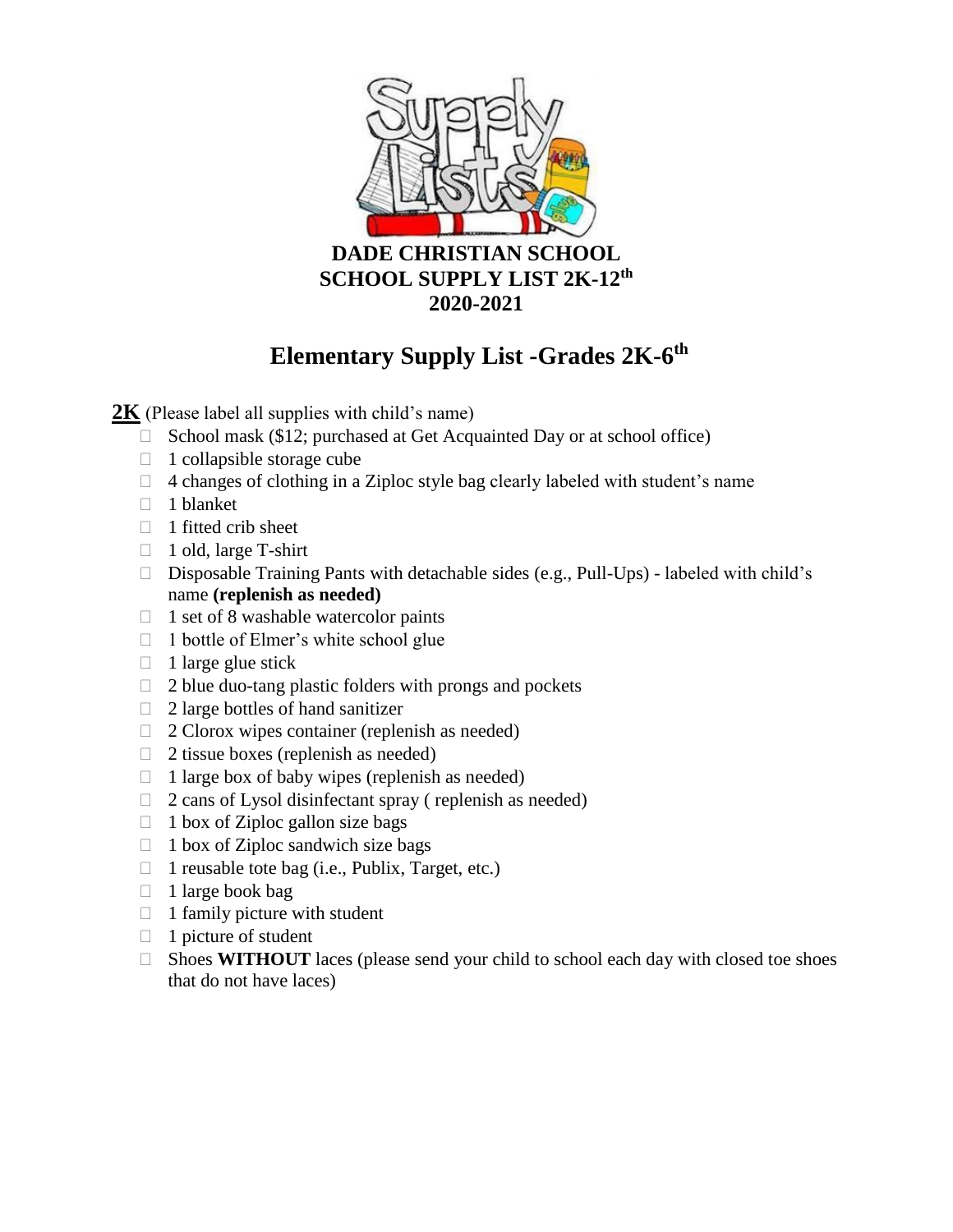

# **2020-2021**

# **Elementary Supply List -Grades 2K-6 th**

**2K** (Please label all supplies with child's name)

- $\Box$  School mask (\$12; purchased at Get Acquainted Day or at school office)
- $\Box$  1 collapsible storage cube
- $\Box$  4 changes of clothing in a Ziploc style bag clearly labeled with student's name
- $\Box$  1 blanket
- $\Box$  1 fitted crib sheet
- □ 1 old, large T-shirt
- $\square$  Disposable Training Pants with detachable sides (e.g., Pull-Ups) labeled with child's name **(replenish as needed)**
- $\Box$  1 set of 8 washable watercolor paints
- $\Box$  1 bottle of Elmer's white school glue
- $\Box$  1 large glue stick
- $\Box$  2 blue duo-tang plastic folders with prongs and pockets
- $\Box$  2 large bottles of hand sanitizer
- $\Box$  2 Clorox wipes container (replenish as needed)
- $\Box$  2 tissue boxes (replenish as needed)
- $\Box$  1 large box of baby wipes (replenish as needed)
- $\Box$  2 cans of Lysol disinfectant spray ( replenish as needed)
- $\Box$  1 box of Ziploc gallon size bags
- $\Box$  1 box of Ziploc sandwich size bags
- $\Box$  1 reusable tote bag (i.e., Publix, Target, etc.)
- $\Box$  1 large book bag
- $\Box$  1 family picture with student
- $\Box$  1 picture of student
- $\Box$  Shoes **WITHOUT** laces (please send your child to school each day with closed toe shoes that do not have laces)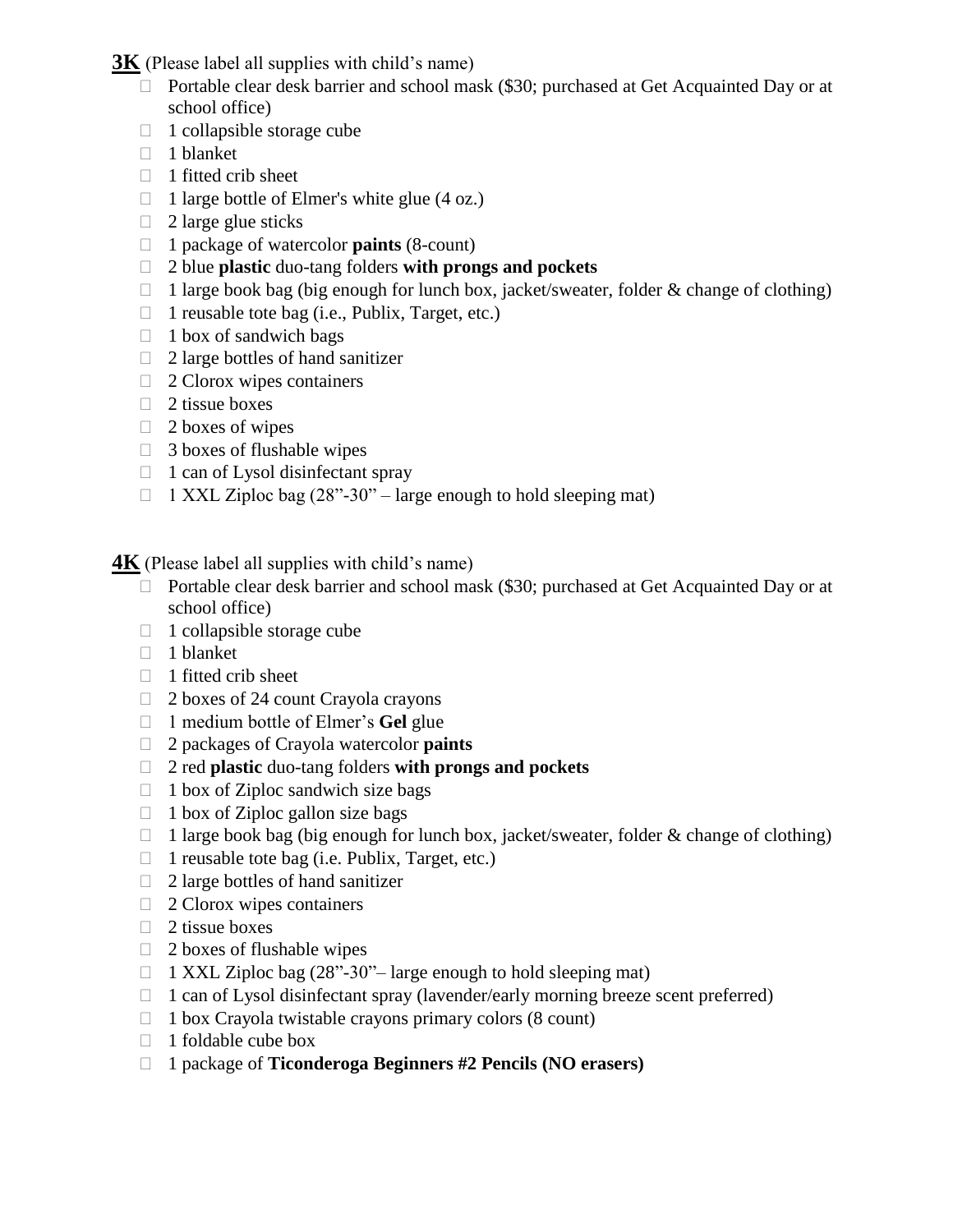**3K** (Please label all supplies with child's name)

- □ Portable clear desk barrier and school mask (\$30; purchased at Get Acquainted Day or at school office)
- $\Box$  1 collapsible storage cube
- □ 1 blanket
- $\Box$  1 fitted crib sheet
- $\Box$  1 large bottle of Elmer's white glue (4 oz.)
- $\Box$  2 large glue sticks
- 1 package of watercolor **paints** (8-count)
- 2 blue **plastic** duo-tang folders **with prongs and pockets**
- $\Box$  1 large book bag (big enough for lunch box, jacket/sweater, folder & change of clothing)
- $\Box$  1 reusable tote bag (i.e., Publix, Target, etc.)
- $\Box$  1 box of sandwich bags
- $\Box$  2 large bottles of hand sanitizer
- $\Box$  2 Clorox wipes containers
- $\Box$  2 tissue boxes
- $\Box$  2 boxes of wipes
- $\Box$  3 boxes of flushable wipes
- $\Box$  1 can of Lysol disinfectant spray
- $\Box$  1 XXL Ziploc bag (28"-30" large enough to hold sleeping mat)

**4K** (Please label all supplies with child's name)

- $\Box$  Portable clear desk barrier and school mask (\$30; purchased at Get Acquainted Day or at school office)
- $\Box$  1 collapsible storage cube
- $\Box$  1 blanket
- $\Box$  1 fitted crib sheet
- $\Box$  2 boxes of 24 count Crayola crayons
- 1 medium bottle of Elmer's **Gel** glue
- 2 packages of Crayola watercolor **paints**
- 2 red **plastic** duo-tang folders **with prongs and pockets**
- $\Box$  1 box of Ziploc sandwich size bags
- $\Box$  1 box of Ziploc gallon size bags
- $\Box$  1 large book bag (big enough for lunch box, jacket/sweater, folder & change of clothing)
- $\Box$  1 reusable tote bag (i.e. Publix, Target, etc.)
- $\Box$  2 large bottles of hand sanitizer
- $\Box$  2 Clorox wipes containers
- $\Box$  2 tissue boxes
- $\Box$  2 boxes of flushable wipes
- $\Box$  1 XXL Ziploc bag (28"-30"– large enough to hold sleeping mat)
- $\Box$  1 can of Lysol disinfectant spray (lavender/early morning breeze scent preferred)
- $\Box$  1 box Crayola twistable crayons primary colors (8 count)
- $\Box$  1 foldable cube box
- 1 package of **Ticonderoga Beginners #2 Pencils (NO erasers)**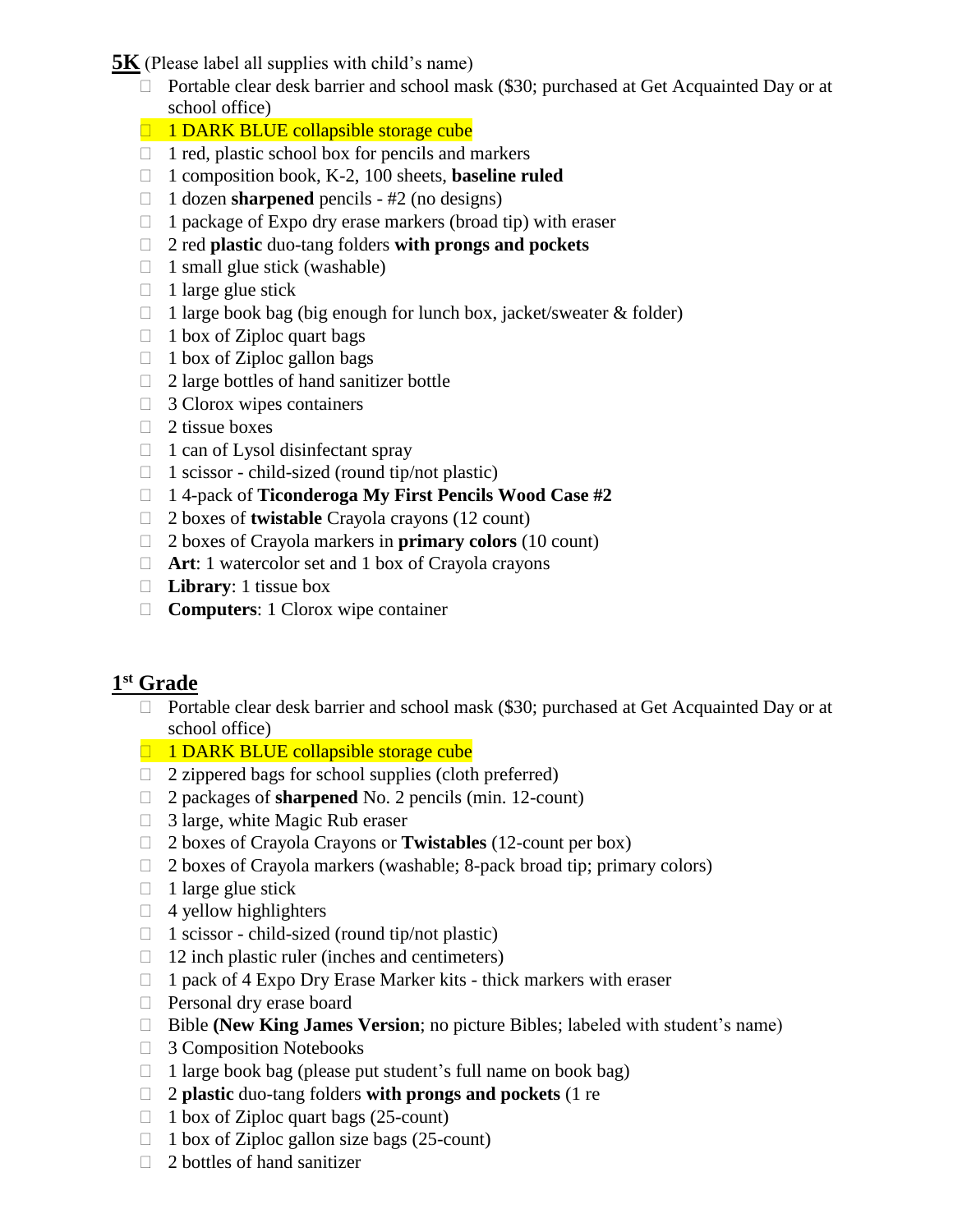**5K** (Please label all supplies with child's name)

- □ Portable clear desk barrier and school mask (\$30; purchased at Get Acquainted Day or at school office)
- 1 DARK BLUE collapsible storage cube
- $\Box$  1 red, plastic school box for pencils and markers
- 1 composition book, K-2, 100 sheets, **baseline ruled**
- 1 dozen **sharpened** pencils #2 (no designs)
- $\Box$  1 package of Expo dry erase markers (broad tip) with eraser
- 2 red **plastic** duo-tang folders **with prongs and pockets**
- $\Box$  1 small glue stick (washable)
- $\Box$  1 large glue stick
- $\Box$  1 large book bag (big enough for lunch box, jacket/sweater & folder)
- $\Box$  1 box of Ziploc quart bags
- $\Box$  1 box of Ziploc gallon bags
- 2 large bottles of hand sanitizer bottle
- $\Box$  3 Clorox wipes containers
- $\Box$  2 tissue boxes
- $\Box$  1 can of Lysol disinfectant spray
- $\Box$  1 scissor child-sized (round tip/not plastic)
- 1 4-pack of **Ticonderoga My First Pencils Wood Case #2**
- 2 boxes of **twistable** Crayola crayons (12 count)
- 2 boxes of Crayola markers in **primary colors** (10 count)
- □ **Art**: 1 watercolor set and 1 box of Crayola crayons
- **Library**: 1 tissue box
- **Computers**: 1 Clorox wipe container

# **1 st Grade**

- □ Portable clear desk barrier and school mask (\$30; purchased at Get Acquainted Day or at school office)
- $\Box$  1 DARK BLUE collapsible storage cube
- $\Box$  2 zippered bags for school supplies (cloth preferred)
- 2 packages of **sharpened** No. 2 pencils (min. 12-count)
- $\Box$  3 large, white Magic Rub eraser
- 2 boxes of Crayola Crayons or **Twistables** (12-count per box)
- $\Box$  2 boxes of Crayola markers (washable; 8-pack broad tip; primary colors)
- $\Box$  1 large glue stick
- $\Box$  4 yellow highlighters
- $\Box$  1 scissor child-sized (round tip/not plastic)
- $\Box$  12 inch plastic ruler (inches and centimeters)
- $\Box$  1 pack of 4 Expo Dry Erase Marker kits thick markers with eraser
- **Personal dry erase board**
- □ Bible **(New King James Version**; no picture Bibles; labeled with student's name)
- **3 Composition Notebooks**
- $\Box$  1 large book bag (please put student's full name on book bag)
- 2 **plastic** duo-tang folders **with prongs and pockets** (1 re
- $\Box$  1 box of Ziploc quart bags (25-count)
- $\Box$  1 box of Ziploc gallon size bags (25-count)
- $\Box$  2 bottles of hand sanitizer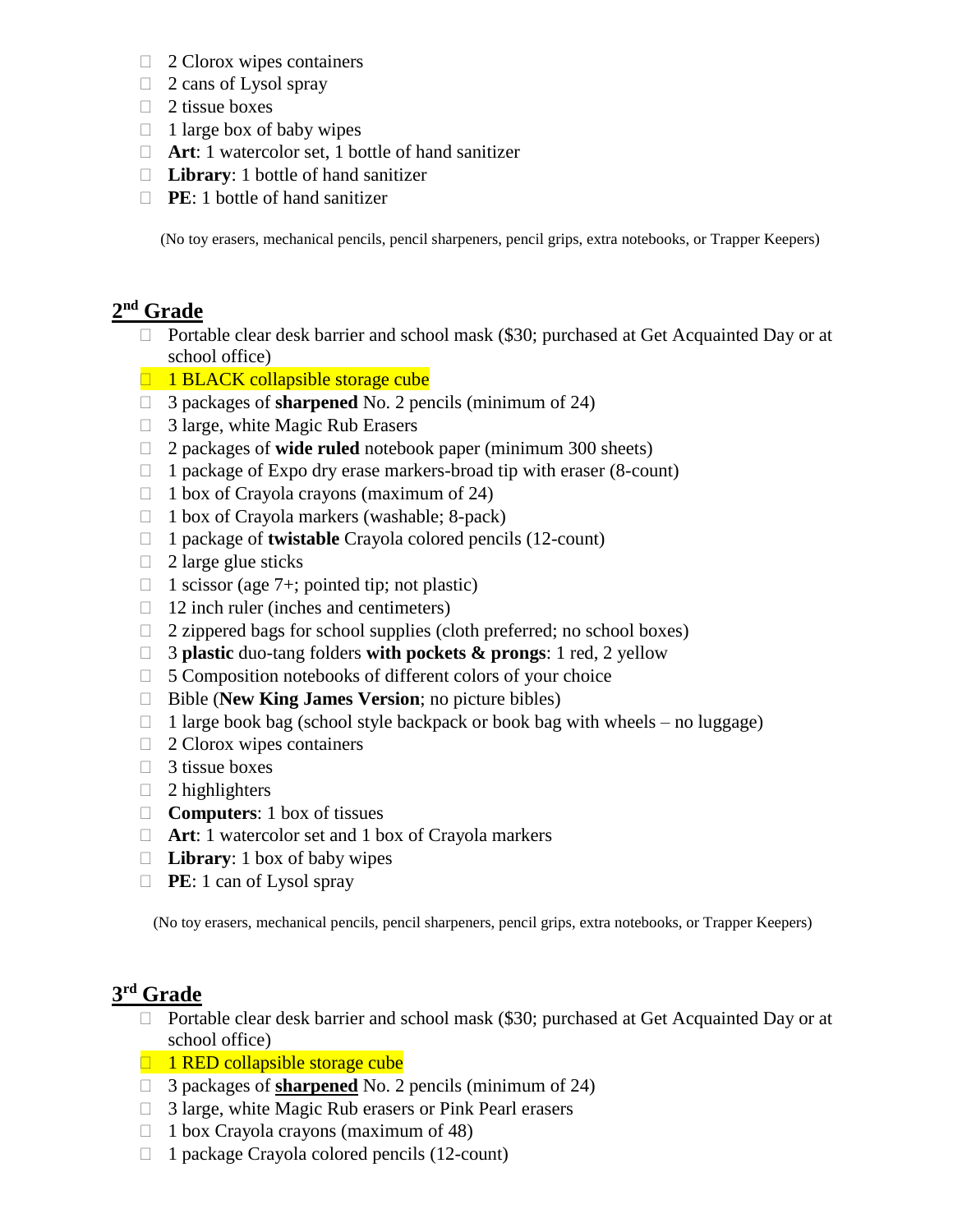- $\Box$  2 Clorox wipes containers
- $\Box$  2 cans of Lysol spray
- $\Box$  2 tissue boxes
- $\Box$  1 large box of baby wipes
- **Art**: 1 watercolor set, 1 bottle of hand sanitizer
- **Library**: 1 bottle of hand sanitizer
- **PE**: 1 bottle of hand sanitizer

(No toy erasers, mechanical pencils, pencil sharpeners, pencil grips, extra notebooks, or Trapper Keepers)

#### **2 nd Grade**

- □ Portable clear desk barrier and school mask (\$30; purchased at Get Acquainted Day or at school office)
- $\Box$  1 BLACK collapsible storage cube
- 3 packages of **sharpened** No. 2 pencils (minimum of 24)
- $\Box$  3 large, white Magic Rub Erasers
- 2 packages of **wide ruled** notebook paper (minimum 300 sheets)
- $\Box$  1 package of Expo dry erase markers-broad tip with eraser (8-count)
- $\Box$  1 box of Crayola crayons (maximum of 24)
- $\Box$  1 box of Crayola markers (washable; 8-pack)
- 1 package of **twistable** Crayola colored pencils (12-count)
- $\Box$  2 large glue sticks
- $\Box$  1 scissor (age 7+; pointed tip; not plastic)
- $\Box$  12 inch ruler (inches and centimeters)
- $\Box$  2 zippered bags for school supplies (cloth preferred; no school boxes)
- 3 **plastic** duo-tang folders **with pockets & prongs**: 1 red, 2 yellow
- $\Box$  5 Composition notebooks of different colors of your choice
- □ Bible (**New King James Version**; no picture bibles)
- $\Box$  1 large book bag (school style backpack or book bag with wheels no luggage)
- $\Box$  2 Clorox wipes containers
- $\Box$  3 tissue boxes
- $\Box$  2 highlighters
- **Computers**: 1 box of tissues
- **Art**: 1 watercolor set and 1 box of Crayola markers
- **Library**: 1 box of baby wipes
- **PE**: 1 can of Lysol spray

(No toy erasers, mechanical pencils, pencil sharpeners, pencil grips, extra notebooks, or Trapper Keepers)

### **3 rd Grade**

- □ Portable clear desk barrier and school mask (\$30; purchased at Get Acquainted Day or at school office)
- $\Box$  1 RED collapsible storage cube
- 3 packages of **sharpened** No. 2 pencils (minimum of 24)
- □ 3 large, white Magic Rub erasers or Pink Pearl erasers
- $\Box$  1 box Crayola crayons (maximum of 48)
- 1 package Crayola colored pencils (12-count)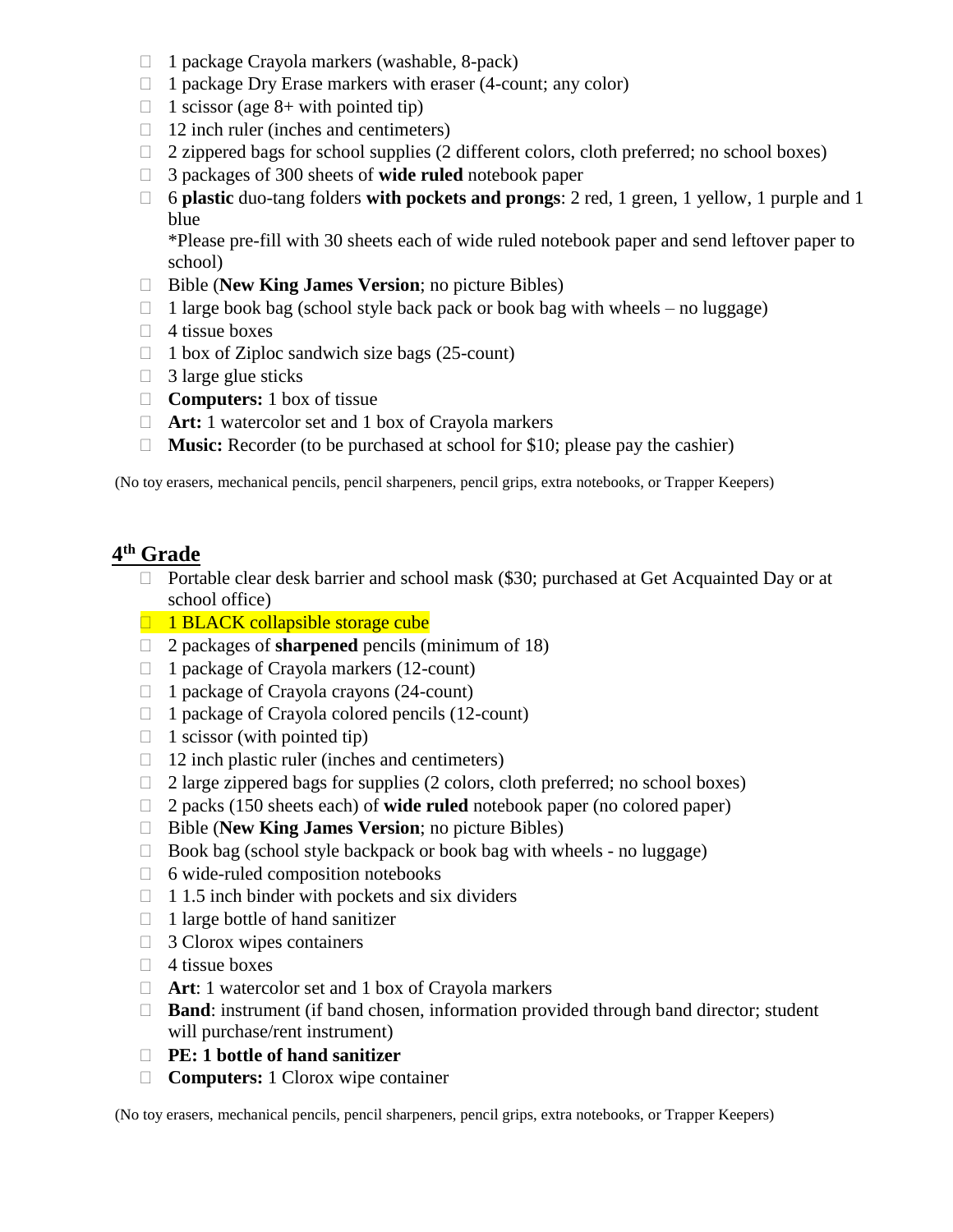- $\Box$  1 package Crayola markers (washable, 8-pack)
- $\Box$  1 package Dry Erase markers with eraser (4-count; any color)
- $\Box$  1 scissor (age 8+ with pointed tip)
- $\Box$  12 inch ruler (inches and centimeters)
- $\Box$  2 zippered bags for school supplies (2 different colors, cloth preferred; no school boxes)
- 3 packages of 300 sheets of **wide ruled** notebook paper
- 6 **plastic** duo-tang folders **with pockets and prongs**: 2 red, 1 green, 1 yellow, 1 purple and 1 blue

\*Please pre-fill with 30 sheets each of wide ruled notebook paper and send leftover paper to school)

- Bible (**New King James Version**; no picture Bibles)
- $\Box$  1 large book bag (school style back pack or book bag with wheels no luggage)
- $\Box$  4 tissue boxes
- $\Box$  1 box of Ziploc sandwich size bags (25-count)
- $\Box$  3 large glue sticks
- □ **Computers:** 1 box of tissue
- □ **Art:** 1 watercolor set and 1 box of Crayola markers
- □ **Music:** Recorder (to be purchased at school for \$10; please pay the cashier)

(No toy erasers, mechanical pencils, pencil sharpeners, pencil grips, extra notebooks, or Trapper Keepers)

### **4 th Grade**

- $\Box$  Portable clear desk barrier and school mask (\$30; purchased at Get Acquainted Day or at school office)
- $\Box$  1 BLACK collapsible storage cube
- 2 packages of **sharpened** pencils (minimum of 18)
- $\Box$  1 package of Crayola markers (12-count)
- $\Box$  1 package of Crayola crayons (24-count)
- $\Box$  1 package of Crayola colored pencils (12-count)
- $\Box$  1 scissor (with pointed tip)
- $\Box$  12 inch plastic ruler (inches and centimeters)
- $\Box$  2 large zippered bags for supplies (2 colors, cloth preferred; no school boxes)
- 2 packs (150 sheets each) of **wide ruled** notebook paper (no colored paper)
- □ Bible (**New King James Version**; no picture Bibles)
- $\Box$  Book bag (school style backpack or book bag with wheels no luggage)
- $\Box$  6 wide-ruled composition notebooks
- $\Box$  1.5 inch binder with pockets and six dividers
- $\Box$  1 large bottle of hand sanitizer
- $\Box$  3 Clorox wipes containers
- $\Box$  4 tissue boxes
- □ **Art**: 1 watercolor set and 1 box of Crayola markers
- □ **Band**: instrument (if band chosen, information provided through band director; student will purchase/rent instrument)
- **PE: 1 bottle of hand sanitizer**
- □ **Computers:** 1 Clorox wipe container

(No toy erasers, mechanical pencils, pencil sharpeners, pencil grips, extra notebooks, or Trapper Keepers)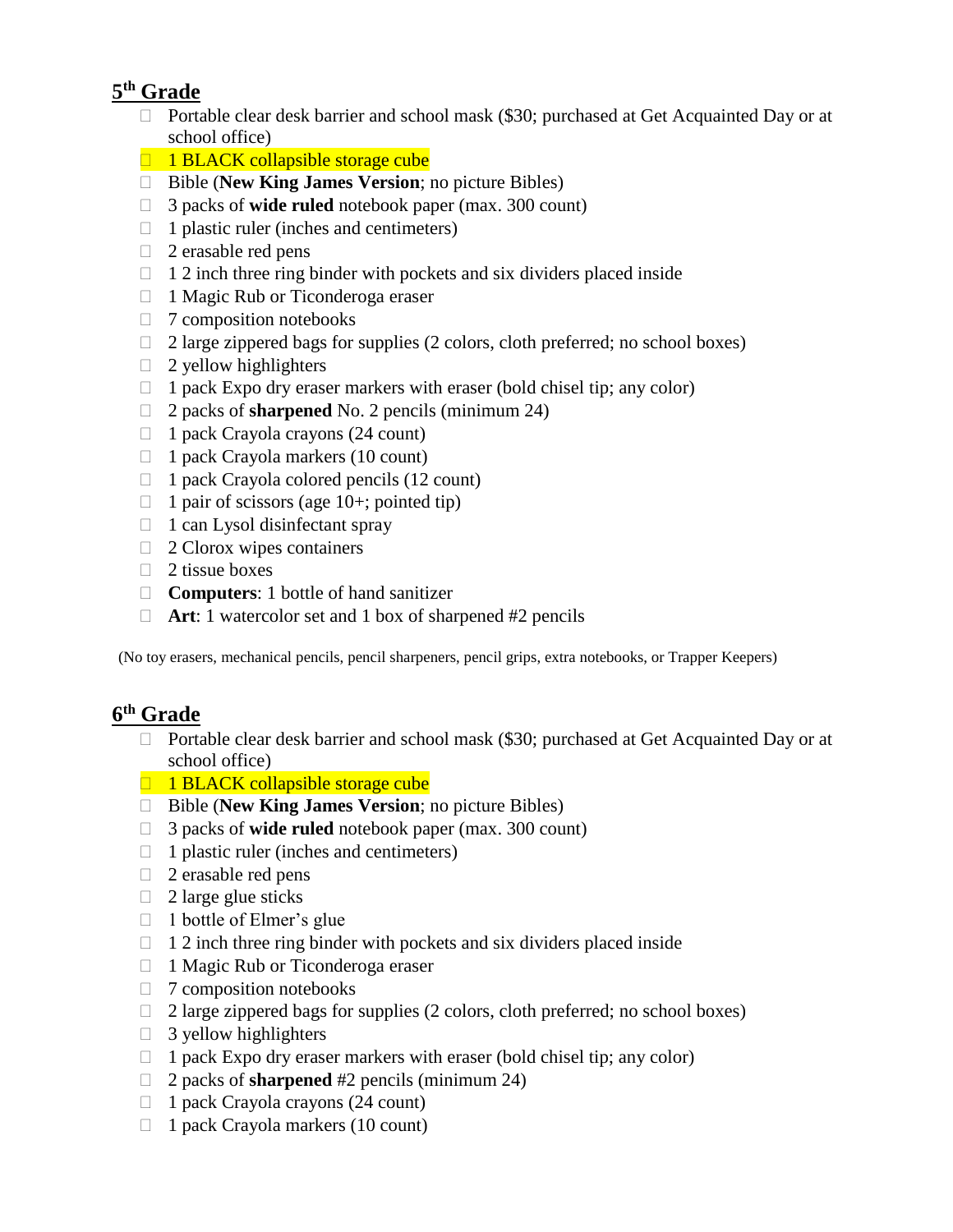## **5 th Grade**

- □ Portable clear desk barrier and school mask (\$30; purchased at Get Acquainted Day or at school office)
- $\Box$  1 BLACK collapsible storage cube
- Bible (**New King James Version**; no picture Bibles)
- 3 packs of **wide ruled** notebook paper (max. 300 count)
- $\Box$  1 plastic ruler (inches and centimeters)
- $\Box$  2 erasable red pens
- $\Box$  1 2 inch three ring binder with pockets and six dividers placed inside
- $\Box$  1 Magic Rub or Ticonderoga eraser
- $\Box$  7 composition notebooks
- $\Box$  2 large zippered bags for supplies (2 colors, cloth preferred; no school boxes)
- $\Box$  2 yellow highlighters
- $\Box$  1 pack Expo dry eraser markers with eraser (bold chisel tip; any color)
- 2 packs of **sharpened** No. 2 pencils (minimum 24)
- $\Box$  1 pack Crayola crayons (24 count)
- $\Box$  1 pack Crayola markers (10 count)
- $\Box$  1 pack Crayola colored pencils (12 count)
- $\Box$  1 pair of scissors (age 10+; pointed tip)
- $\Box$  1 can Lysol disinfectant spray
- $\Box$  2 Clorox wipes containers
- $\Box$  2 tissue boxes
- □ **Computers**: 1 bottle of hand sanitizer
- **Art**: 1 watercolor set and 1 box of sharpened #2 pencils

(No toy erasers, mechanical pencils, pencil sharpeners, pencil grips, extra notebooks, or Trapper Keepers)

## **6 th Grade**

- □ Portable clear desk barrier and school mask (\$30; purchased at Get Acquainted Day or at school office)
- $\Box$  1 BLACK collapsible storage cube
- Bible (**New King James Version**; no picture Bibles)
- 3 packs of **wide ruled** notebook paper (max. 300 count)
- $\Box$  1 plastic ruler (inches and centimeters)
- $\Box$  2 erasable red pens
- $\Box$  2 large glue sticks
- $\Box$  1 bottle of Elmer's glue
- $\Box$  1 2 inch three ring binder with pockets and six dividers placed inside
- □ 1 Magic Rub or Ticonderoga eraser
- $\Box$  7 composition notebooks
- $\Box$  2 large zippered bags for supplies (2 colors, cloth preferred; no school boxes)
- $\Box$  3 yellow highlighters
- $\Box$  1 pack Expo dry eraser markers with eraser (bold chisel tip; any color)
- 2 packs of **sharpened** #2 pencils (minimum 24)
- $\Box$  1 pack Crayola crayons (24 count)
- $\Box$  1 pack Crayola markers (10 count)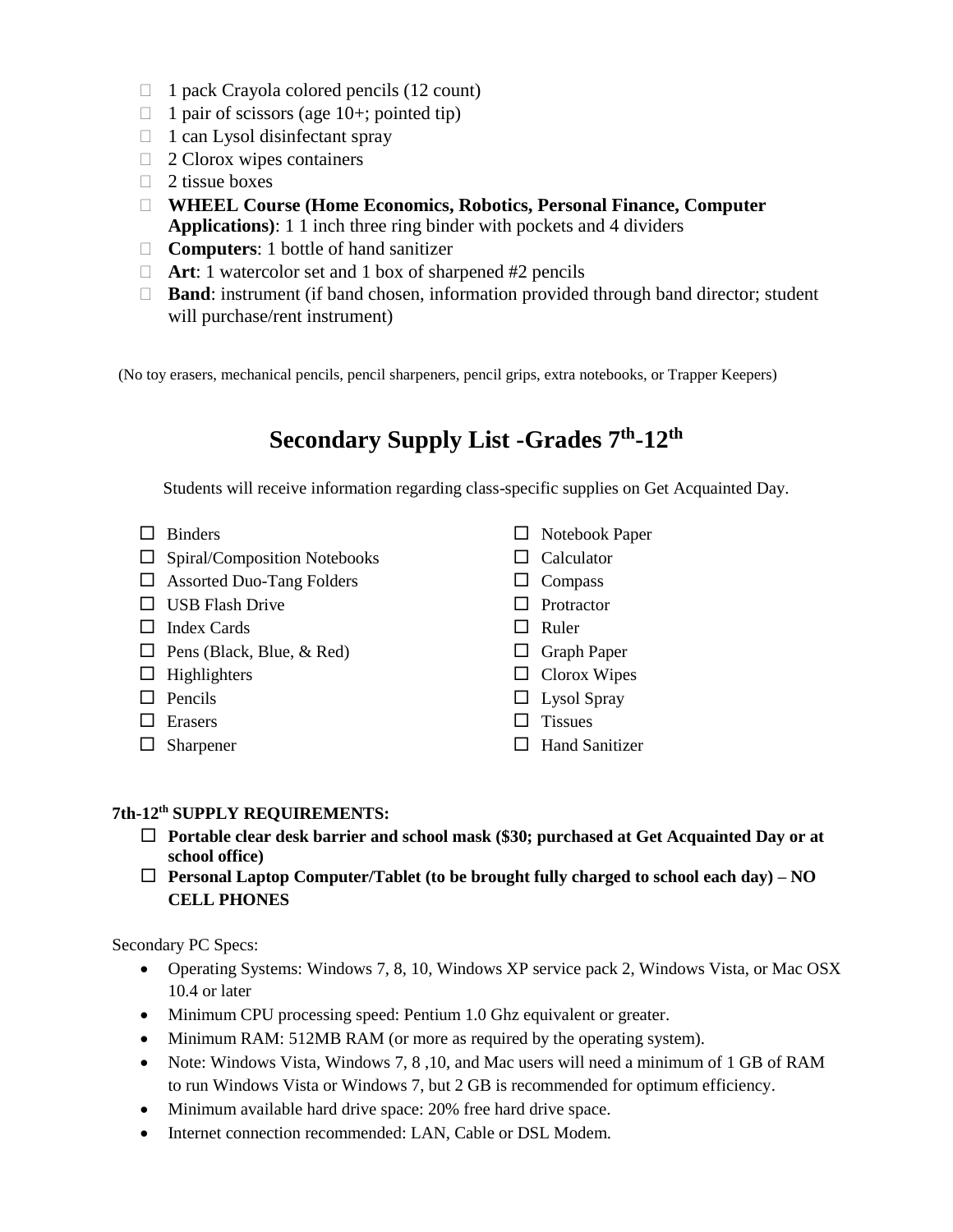- $\Box$  1 pack Crayola colored pencils (12 count)
- $\Box$  1 pair of scissors (age 10+; pointed tip)
- $\Box$  1 can Lysol disinfectant spray
- $\Box$  2 Clorox wipes containers
- $\Box$  2 tissue boxes
- **WHEEL Course (Home Economics, Robotics, Personal Finance, Computer Applications)**: 1 1 inch three ring binder with pockets and 4 dividers
- **Computers**: 1 bottle of hand sanitizer
- □ **Art**: 1 watercolor set and 1 box of sharpened #2 pencils
- □ **Band**: instrument (if band chosen, information provided through band director; student will purchase/rent instrument)

(No toy erasers, mechanical pencils, pencil sharpeners, pencil grips, extra notebooks, or Trapper Keepers)

# **Secondary Supply List -Grades 7th -12th**

Students will receive information regarding class-specific supplies on Get Acquainted Day.

- $\Box$  Binders
- $\Box$  Spiral/Composition Notebooks
- Assorted Duo-Tang Folders
- $\Box$  USB Flash Drive
- $\Box$  Index Cards
- $\Box$  Pens (Black, Blue, & Red)
- $\Box$  Highlighters
- $\Box$  Pencils
- □ Erasers
- □ Sharpener
- □ Notebook Paper
- $\Box$  Calculator
- $\Box$  Compass
- $\Box$  Protractor
- $\Box$  Ruler
- $\Box$  Graph Paper
- $\Box$  Clorox Wipes
- $\Box$  Lysol Spray
- $\Box$  Tissues
- $\Box$  Hand Sanitizer

#### **7th-12th SUPPLY REQUIREMENTS:**

- **Portable clear desk barrier and school mask (\$30; purchased at Get Acquainted Day or at school office)**
- **Personal Laptop Computer/Tablet (to be brought fully charged to school each day) – NO CELL PHONES**

Secondary PC Specs:

- Operating Systems: Windows 7, 8, 10, Windows XP service pack 2, Windows Vista, or Mac OSX 10.4 or later
- Minimum CPU processing speed: Pentium 1.0 Ghz equivalent or greater.
- Minimum RAM: 512MB RAM (or more as required by the operating system).
- Note: Windows Vista, Windows 7, 8, 10, and Mac users will need a minimum of 1 GB of RAM to run Windows Vista or Windows 7, but 2 GB is recommended for optimum efficiency.
- Minimum available hard drive space: 20% free hard drive space.
- Internet connection recommended: LAN, Cable or DSL Modem.